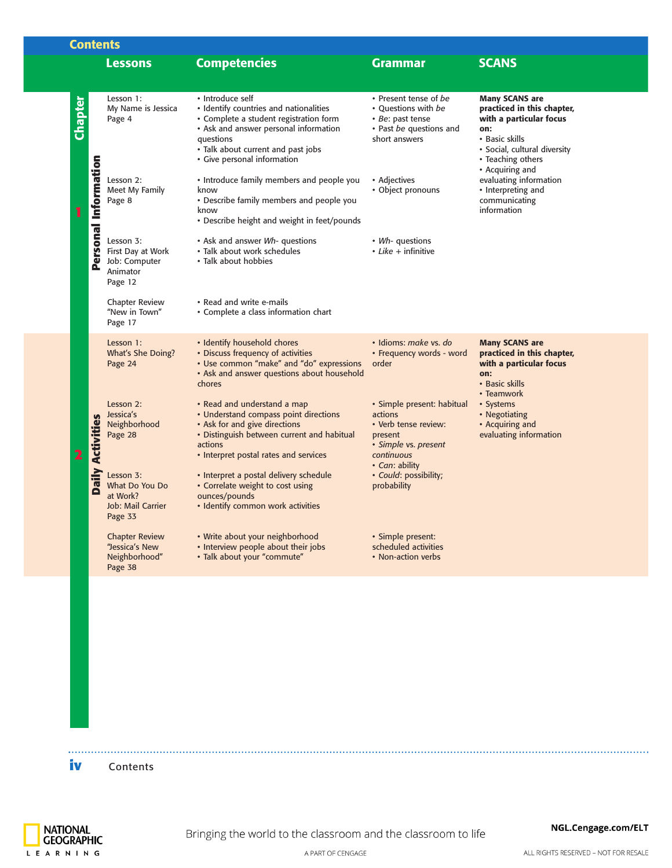| <b>Contents</b> |                                     |                                                                                |                                                                                                                                                                                                                                 |                                                                                                                                  |                                                                                                                                                                                 |
|-----------------|-------------------------------------|--------------------------------------------------------------------------------|---------------------------------------------------------------------------------------------------------------------------------------------------------------------------------------------------------------------------------|----------------------------------------------------------------------------------------------------------------------------------|---------------------------------------------------------------------------------------------------------------------------------------------------------------------------------|
|                 |                                     | <b>Lessons</b>                                                                 | <b>Competencies</b>                                                                                                                                                                                                             | <b>Grammar</b>                                                                                                                   | <b>SCANS</b>                                                                                                                                                                    |
| <b>Chapter</b>  |                                     | Lesson 1:<br>My Name is Jessica<br>Page 4                                      | • Introduce self<br>• Identify countries and nationalities<br>• Complete a student registration form<br>• Ask and answer personal information<br>questions<br>• Talk about current and past jobs<br>• Give personal information | • Present tense of be<br>• Ouestions with be<br>· Be: past tense<br>• Past be questions and<br>short answers                     | <b>Many SCANS are</b><br>practiced in this chapter,<br>with a particular focus<br>on:<br>• Basic skills<br>· Social, cultural diversity<br>• Teaching others<br>• Acquiring and |
| 1               | Personal Information                | Lesson 2:<br>Meet My Family<br>Page 8                                          | • Introduce family members and people you<br>know<br>• Describe family members and people you<br>know<br>• Describe height and weight in feet/pounds                                                                            | • Adjectives<br>• Object pronouns                                                                                                | evaluating information<br>• Interpreting and<br>communicating<br>information                                                                                                    |
|                 |                                     | Lesson 3:<br>First Day at Work<br>Job: Computer<br>Animator<br>Page 12         | • Ask and answer Wh- questions<br>• Talk about work schedules<br>• Talk about hobbies                                                                                                                                           | • Wh- questions<br>$\cdot$ Like + infinitive                                                                                     |                                                                                                                                                                                 |
|                 |                                     | <b>Chapter Review</b><br>"New in Town"<br>Page 17                              | • Read and write e-mails<br>• Complete a class information chart                                                                                                                                                                |                                                                                                                                  |                                                                                                                                                                                 |
|                 |                                     | Lesson 1:<br>What's She Doing?<br>Page 24                                      | • Identify household chores<br>• Discuss frequency of activities<br>• Use common "make" and "do" expressions<br>• Ask and answer questions about household<br>chores                                                            | · Idioms: make vs. do<br>• Frequency words - word<br>order                                                                       | <b>Many SCANS are</b><br>practiced in this chapter,<br>with a particular focus<br>on:<br>• Basic skills<br>• Teamwork                                                           |
|                 | <b>Activities</b>                   | Lesson 2:<br>Jessica's<br>Neighborhood<br>Page 28                              | • Read and understand a map<br>• Understand compass point directions<br>• Ask for and give directions<br>• Distinguish between current and habitual<br>actions<br>• Interpret postal rates and services                         | · Simple present: habitual<br>actions<br>• Verb tense review:<br>present<br>· Simple vs. present<br>continuous<br>• Can: ability | • Systems<br>• Negotiating<br>• Acquiring and<br>evaluating information                                                                                                         |
|                 | Nil<br>$\overline{\mathbf{e}}$<br>e | Lesson 3:<br>What Do You Do<br>at Work?<br><b>Job: Mail Carrier</b><br>Page 33 | · Interpret a postal delivery schedule<br>• Correlate weight to cost using<br>ounces/pounds<br>• Identify common work activities                                                                                                | · Could: possibility;<br>probability                                                                                             |                                                                                                                                                                                 |
|                 |                                     | <b>Chapter Review</b><br>"Jessica's New<br>Neighborhood"<br>Page 38            | • Write about your neighborhood<br>• Interview people about their jobs<br>• Talk about your "commute"                                                                                                                           | · Simple present:<br>scheduled activities<br>• Non-action verbs                                                                  |                                                                                                                                                                                 |
|                 |                                     |                                                                                |                                                                                                                                                                                                                                 |                                                                                                                                  |                                                                                                                                                                                 |
|                 |                                     |                                                                                |                                                                                                                                                                                                                                 |                                                                                                                                  |                                                                                                                                                                                 |
|                 |                                     |                                                                                |                                                                                                                                                                                                                                 |                                                                                                                                  |                                                                                                                                                                                 |
|                 |                                     |                                                                                |                                                                                                                                                                                                                                 |                                                                                                                                  |                                                                                                                                                                                 |
| iv              |                                     | Contents                                                                       |                                                                                                                                                                                                                                 |                                                                                                                                  |                                                                                                                                                                                 |

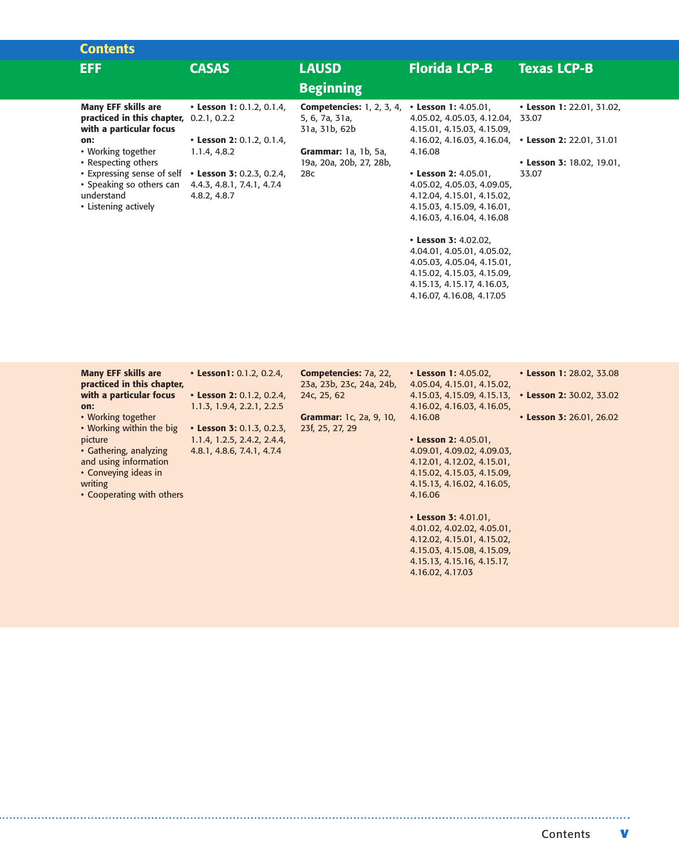| <b>Contents</b>                                                                                                                                                                                                                                                                |                                                                                                                      |                                                                                                                                                                 |                                                                                                                                                                                                                                                                                 |                                                                 |
|--------------------------------------------------------------------------------------------------------------------------------------------------------------------------------------------------------------------------------------------------------------------------------|----------------------------------------------------------------------------------------------------------------------|-----------------------------------------------------------------------------------------------------------------------------------------------------------------|---------------------------------------------------------------------------------------------------------------------------------------------------------------------------------------------------------------------------------------------------------------------------------|-----------------------------------------------------------------|
| <b>EFF</b>                                                                                                                                                                                                                                                                     | <b>CASAS</b>                                                                                                         | <b>LAUSD</b>                                                                                                                                                    | <b>Florida LCP-B</b>                                                                                                                                                                                                                                                            | <b>Texas LCP-B</b>                                              |
|                                                                                                                                                                                                                                                                                |                                                                                                                      | <b>Beginning</b>                                                                                                                                                |                                                                                                                                                                                                                                                                                 |                                                                 |
| <b>Many EFF skills are</b><br>practiced in this chapter, 0.2.1, 0.2.2<br>with a particular focus<br>on:<br>• Working together<br>• Respecting others<br>• Expressing sense of self • Lesson 3: 0.2.3, 0.2.4,<br>• Speaking so others can<br>understand<br>• Listening actively | • Lesson 1: 0.1.2, 0.1.4,<br>• Lesson 2: 0.1.2, 0.1.4,<br>1.1.4, 4.8.2<br>4.4.3, 4.8.1, 7.4.1, 4.7.4<br>4.8.2, 4.8.7 | <b>Competencies:</b> 1, 2, 3, 4, $\cdot$ <b>Lesson 1:</b> 4.05.01,<br>5, 6, 7a, 31a,<br>31a, 31b, 62b<br>Grammar: 1a, 1b, 5a,<br>19a, 20a, 20b, 27, 28b,<br>28c | 4.05.02, 4.05.03, 4.12.04, 33.07<br>4.15.01, 4.15.03, 4.15.09,<br>4.16.02, 4.16.03, 4.16.04, • Lesson 2: 22.01, 31.01<br>4.16.08<br>• Lesson 2: 4.05.01,<br>4.05.02, 4.05.03, 4.09.05,<br>4.12.04, 4.15.01, 4.15.02,<br>4.15.03, 4.15.09, 4.16.01,<br>4.16.03, 4.16.04, 4.16.08 | • Lesson 1: 22.01, 31.02,<br>• Lesson 3: 18.02, 19.01,<br>33.07 |
|                                                                                                                                                                                                                                                                                |                                                                                                                      |                                                                                                                                                                 | • Lesson 3: 4.02.02,                                                                                                                                                                                                                                                            |                                                                 |

4.04.01, 4.05.01, 4.05.02, 4.05.03, 4.05.04, 4.15.01, 4.15.02, 4.15.03, 4.15.09, 4.15.13, 4.15.17, 4.16.03, 4.16.07, 4.16.08, 4.17.05

4.16.02, 4.17.03

| <b>Many EFF skills are</b> | • Lesson1: 0.1.2, 0.2.4,    | Competencies: 7a, 22,          | • Lesson 1: 4.05.02,       | • Lesson 1: 28.02, 33.08 |
|----------------------------|-----------------------------|--------------------------------|----------------------------|--------------------------|
| practiced in this chapter, |                             | 23a, 23b, 23c, 24a, 24b,       | 4.05.04, 4.15.01, 4.15.02, |                          |
| with a particular focus    | • Lesson 2: 0.1.2, 0.2.4,   | 24c, 25, 62                    | 4.15.03, 4.15.09, 4.15.13, | • Lesson 2: 30.02, 33.02 |
| on:                        | 1.1.3, 1.9.4, 2.2.1, 2.2.5  |                                | 4.16.02, 4.16.03, 4.16.05, |                          |
| • Working together         |                             | <b>Grammar:</b> 1c, 2a, 9, 10, | 4.16.08                    | • Lesson 3: 26.01, 26.02 |
| • Working within the big   | • Lesson 3: 0.1.3, 0.2.3,   | 23f, 25, 27, 29                |                            |                          |
| picture                    | 1.1.4, 1.2.5, 2.4.2, 2.4.4, |                                | • Lesson 2: 4.05.01,       |                          |
| • Gathering, analyzing     | 4.8.1, 4.8.6, 7.4.1, 4.7.4  |                                | 4.09.01, 4.09.02, 4.09.03, |                          |
| and using information      |                             |                                | 4.12.01, 4.12.02, 4.15.01, |                          |
| • Conveying ideas in       |                             |                                | 4.15.02, 4.15.03, 4.15.09, |                          |
| writing                    |                             |                                | 4.15.13, 4.16.02, 4.16.05, |                          |
| • Cooperating with others  |                             |                                | 4.16.06                    |                          |
|                            |                             |                                | • Lesson 3: 4.01.01,       |                          |
|                            |                             |                                | 4.01.02, 4.02.02, 4.05.01, |                          |
|                            |                             |                                | 4.12.02, 4.15.01, 4.15.02, |                          |
|                            |                             |                                | 4.15.03, 4.15.08, 4.15.09, |                          |
|                            |                             |                                | 4.15.13, 4.15.16, 4.15.17, |                          |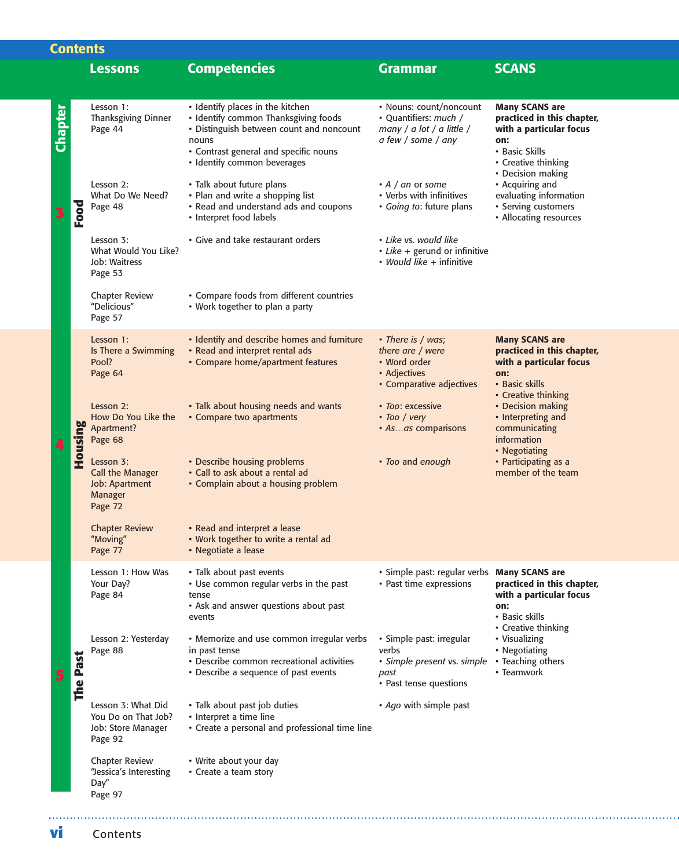| <b>Contents</b> |          |                                                                            |                                                                                                                                                                                                       |                                                                                                     |                                                                                                                                |  |
|-----------------|----------|----------------------------------------------------------------------------|-------------------------------------------------------------------------------------------------------------------------------------------------------------------------------------------------------|-----------------------------------------------------------------------------------------------------|--------------------------------------------------------------------------------------------------------------------------------|--|
|                 |          | <b>Lessons</b>                                                             | <b>Competencies</b>                                                                                                                                                                                   | <b>Grammar</b>                                                                                      | <b>SCANS</b>                                                                                                                   |  |
|                 |          |                                                                            |                                                                                                                                                                                                       |                                                                                                     |                                                                                                                                |  |
| <b>Chapter</b>  |          | Lesson 1:<br><b>Thanksgiving Dinner</b><br>Page 44                         | • Identify places in the kitchen<br>• Identify common Thanksgiving foods<br>• Distinguish between count and noncount<br>nouns<br>• Contrast general and specific nouns<br>• Identify common beverages | • Nouns: count/noncount<br>• Quantifiers: much /<br>many / a lot / a little /<br>a few / some / any | <b>Many SCANS are</b><br>practiced in this chapter,<br>with a particular focus<br>on:<br>• Basic Skills<br>• Creative thinking |  |
|                 | Food     | Lesson 2:<br>What Do We Need?<br>Page 48                                   | • Talk about future plans<br>• Plan and write a shopping list<br>• Read and understand ads and coupons<br>• Interpret food labels                                                                     | $\cdot$ A / an or some<br>• Verbs with infinitives<br>• Going to: future plans                      | • Decision making<br>• Acquiring and<br>evaluating information<br>• Serving customers<br>• Allocating resources                |  |
|                 |          | Lesson 3:<br>What Would You Like?<br>Job: Waitress<br>Page 53              | • Give and take restaurant orders                                                                                                                                                                     | • Like vs. would like<br>• Like + gerund or infinitive<br>• Would like + infinitive                 |                                                                                                                                |  |
|                 |          | <b>Chapter Review</b><br>"Delicious"<br>Page 57                            | • Compare foods from different countries<br>• Work together to plan a party                                                                                                                           |                                                                                                     |                                                                                                                                |  |
|                 |          | Lesson 1:<br>Is There a Swimming<br>Pool?<br>Page 64                       | • Identify and describe homes and furniture<br>• Read and interpret rental ads<br>• Compare home/apartment features                                                                                   | • There is / was;<br>there are / were<br>• Word order<br>• Adjectives<br>• Comparative adjectives   | <b>Many SCANS are</b><br>practiced in this chapter,<br>with a particular focus<br>on:<br>• Basic skills                        |  |
|                 | Housing  | Lesson 2:<br>How Do You Like the<br>Apartment?<br>Page 68                  | • Talk about housing needs and wants<br>• Compare two apartments                                                                                                                                      | • Too: excessive<br>• Too / very<br>• Asas comparisons                                              | • Creative thinking<br>• Decision making<br>• Interpreting and<br>communicating<br>information<br>• Negotiating                |  |
|                 |          | Lesson 3:<br>Call the Manager<br>Job: Apartment<br>Manager<br>Page 72      | • Describe housing problems<br>• Call to ask about a rental ad<br>• Complain about a housing problem                                                                                                  | • Too and enough                                                                                    | • Participating as a<br>member of the team                                                                                     |  |
|                 |          | <b>Chapter Review</b><br>"Moving"<br>Page 77                               | • Read and interpret a lease<br>• Work together to write a rental ad<br>• Negotiate a lease                                                                                                           |                                                                                                     |                                                                                                                                |  |
|                 |          | Lesson 1: How Was<br>Your Day?<br>Page 84                                  | • Talk about past events<br>• Use common regular verbs in the past<br>tense<br>• Ask and answer questions about past<br>events                                                                        | · Simple past: regular verbs Many SCANS are<br>• Past time expressions                              | practiced in this chapter,<br>with a particular focus<br>on:<br>• Basic skills<br>• Creative thinking                          |  |
|                 | The Past | Lesson 2: Yesterday<br>Page 88                                             | • Memorize and use common irregular verbs<br>in past tense<br>• Describe common recreational activities<br>• Describe a sequence of past events                                                       | · Simple past: irregular<br>verbs<br>· Simple present vs. simple<br>past<br>• Past tense questions  | • Visualizing<br>• Negotiating<br>• Teaching others<br>• Teamwork                                                              |  |
|                 |          | Lesson 3: What Did<br>You Do on That Job?<br>Job: Store Manager<br>Page 92 | · Talk about past job duties<br>• Interpret a time line<br>• Create a personal and professional time line                                                                                             | • Ago with simple past                                                                              |                                                                                                                                |  |
|                 |          | <b>Chapter Review</b><br>"Jessica's Interesting<br>Day"<br>Page 97         | • Write about your day<br>• Create a team story                                                                                                                                                       |                                                                                                     |                                                                                                                                |  |
| VI              |          | Contents                                                                   |                                                                                                                                                                                                       |                                                                                                     |                                                                                                                                |  |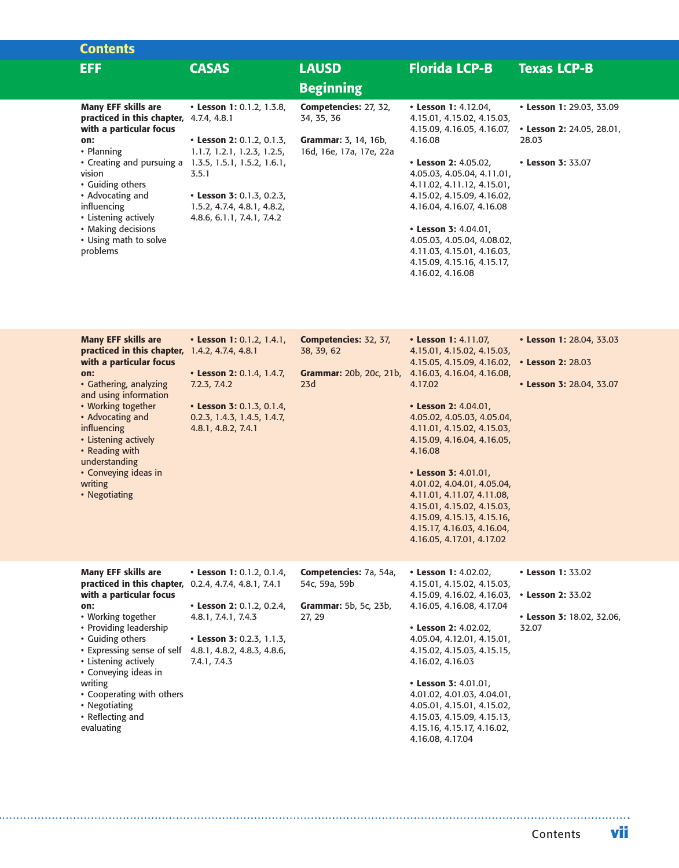| <b>Contents</b>                                                                                  |                                                                                        |                                                        |                                                                                                                   |                                                       |
|--------------------------------------------------------------------------------------------------|----------------------------------------------------------------------------------------|--------------------------------------------------------|-------------------------------------------------------------------------------------------------------------------|-------------------------------------------------------|
| EFF.                                                                                             | <b>CASAS</b>                                                                           | <b>LAUSD</b>                                           | <b>Florida LCP-B</b>                                                                                              | <b>Texas LCP-B</b>                                    |
|                                                                                                  |                                                                                        | <b>Beginning</b>                                       |                                                                                                                   |                                                       |
| <b>Many EFF skills are</b><br>practiced in this chapter, 4.7.4, 4.8.1<br>with a particular focus | • Lesson 1: 0.1.2, 1.3.8,                                                              | Competencies: 27, 32,<br>34, 35, 36                    | • Lesson 1: 4.12.04,<br>4.15.01, 4.15.02, 4.15.03,<br>4.15.09, 4.16.05, 4.16.07,                                  | • Lesson 1: 29.03, 33.09<br>• Lesson 2: 24.05, 28.01, |
| on:<br>• Planning                                                                                | • Lesson 2: 0.1.2, 0.1.3,<br>1.1.7, 1.2.1, 1.2.3, 1.2.5,                               | <b>Grammar:</b> 3, 14, 16b,<br>16d, 16e, 17a, 17e, 22a | 4.16.08                                                                                                           | 28.03                                                 |
| • Creating and pursuing a<br>vision<br>• Guiding others                                          | 1.3.5, 1.5.1, 1.5.2, 1.6.1,<br>3.5.1                                                   |                                                        | • Lesson 2: $4.05.02$ ,<br>4.05.03, 4.05.04, 4.11.01,<br>4.11.02, 4.11.12, 4.15.01,                               | • Lesson 3: 33.07                                     |
| • Advocating and<br>influencing<br>• Listening actively                                          | • Lesson 3: 0.1.3, 0.2.3,<br>1.5.2, 4.7.4, 4.8.1, 4.8.2,<br>4.8.6, 6.1.1, 7.4.1, 7.4.2 |                                                        | 4.15.02, 4.15.09, 4.16.02,<br>4.16.04, 4.16.07, 4.16.08                                                           |                                                       |
| • Making decisions<br>• Using math to solve<br>problems                                          |                                                                                        |                                                        | • Lesson 3: $4.04.01$ ,<br>4.05.03, 4.05.04, 4.08.02,<br>4.11.03, 4.15.01, 4.16.03,<br>4.15.09, 4.15.16, 4.15.17, |                                                       |
|                                                                                                  |                                                                                        |                                                        | 4.16.02, 4.16.08                                                                                                  |                                                       |

| <b>Many EFF skills are</b><br>practiced in this chapter,<br>with a particular focus<br>on:<br>• Gathering, analyzing<br>and using information<br>• Working together<br>• Advocating and<br>influencing<br>• Listening actively<br>• Reading with<br>understanding<br>• Conveying ideas in<br>writing<br>• Negotiating | • Lesson 1: 0.1.2, 1.4.1,<br>1.4.2, 4.7.4, 4.8.1<br>• Lesson 2: 0.1.4, 1.4.7,<br>7.2.3, 7.4.2<br>• Lesson 3: 0.1.3, 0.1.4,<br>0.2.3, 1.4.3, 1.4.5, 1.4.7,<br>4.8.1, 4.8.2, 7.4.1 | Competencies: 32, 37,<br>38, 39, 62<br>Grammar: 20b, 20c, 21b,<br>23d | • Lesson 1: 4.11.07,<br>4.15.01, 4.15.02, 4.15.03,<br>4.15.05, 4.15.09, 4.16.02,<br>4.16.03, 4.16.04, 4.16.08,<br>4.17.02<br>• Lesson 2: 4.04.01,<br>4.05.02, 4.05.03, 4.05.04,<br>4.11.01, 4.15.02, 4.15.03,<br>4.15.09, 4.16.04, 4.16.05,<br>4.16.08<br>• Lesson 3: $4.01.01$ ,<br>4.01.02, 4.04.01, 4.05.04,<br>4.11.01, 4.11.07, 4.11.08,<br>4.15.01, 4.15.02, 4.15.03,<br>4.15.09, 4.15.13, 4.15.16,<br>4.15.17, 4.16.03, 4.16.04,<br>4.16.05, 4.17.01, 4.17.02 | • Lesson 1: 28.04, 33.03<br>• Lesson 2: 28.03<br>• Lesson 3: 28.04, 33.07 |
|-----------------------------------------------------------------------------------------------------------------------------------------------------------------------------------------------------------------------------------------------------------------------------------------------------------------------|----------------------------------------------------------------------------------------------------------------------------------------------------------------------------------|-----------------------------------------------------------------------|----------------------------------------------------------------------------------------------------------------------------------------------------------------------------------------------------------------------------------------------------------------------------------------------------------------------------------------------------------------------------------------------------------------------------------------------------------------------|---------------------------------------------------------------------------|
| <b>Many EFF skills are</b><br>practiced in this chapter, 0.2.4, 4.7.4, 4.8.1, 7.4.1<br>with a particular focus                                                                                                                                                                                                        | • Lesson 1: 0.1.2, 0.1.4,                                                                                                                                                        | Competencies: 7a, 54a,<br>54c, 59a, 59b                               | • Lesson 1: 4.02.02,<br>4.15.01, 4.15.02, 4.15.03,<br>4.15.09, 4.16.02, 4.16.03,                                                                                                                                                                                                                                                                                                                                                                                     | • Lesson 1: 33.02<br>• Lesson 2: 33.02                                    |
| on:<br>• Working together<br>• Providing leadership<br>• Guiding others<br>• Expressing sense of self<br>• Listening actively<br>• Conveying ideas in<br>writing<br>• Cooperating with others<br>• Negotiating<br>• Reflecting and<br>evaluating                                                                      | • Lesson 2: 0.1.2, 0.2.4,<br>4.8.1, 7.4.1, 7.4.3<br>• Lesson 3: 0.2.3, 1.1.3,<br>4.8.1, 4.8.2, 4.8.3, 4.8.6,<br>7.4.1, 7.4.3                                                     | Grammar: 5b, 5c, 23b,<br>27, 29                                       | 4.16.05, 4.16.08, 4.17.04<br>• Lesson 2: 4.02.02,<br>4.05.04, 4.12.01, 4.15.01,<br>4.15.02, 4.15.03, 4.15.15,<br>4.16.02, 4.16.03<br>• Lesson 3: 4.01.01,<br>4.01.02, 4.01.03, 4.04.01,<br>4.05.01, 4.15.01, 4.15.02,<br>4.15.03, 4.15.09, 4.15.13,<br>4.15.16, 4.15.17, 4.16.02,<br>4.16.08, 4.17.04                                                                                                                                                                | • Lesson 3: 18.02, 32.06,<br>32.07                                        |

Contents **vii**

..............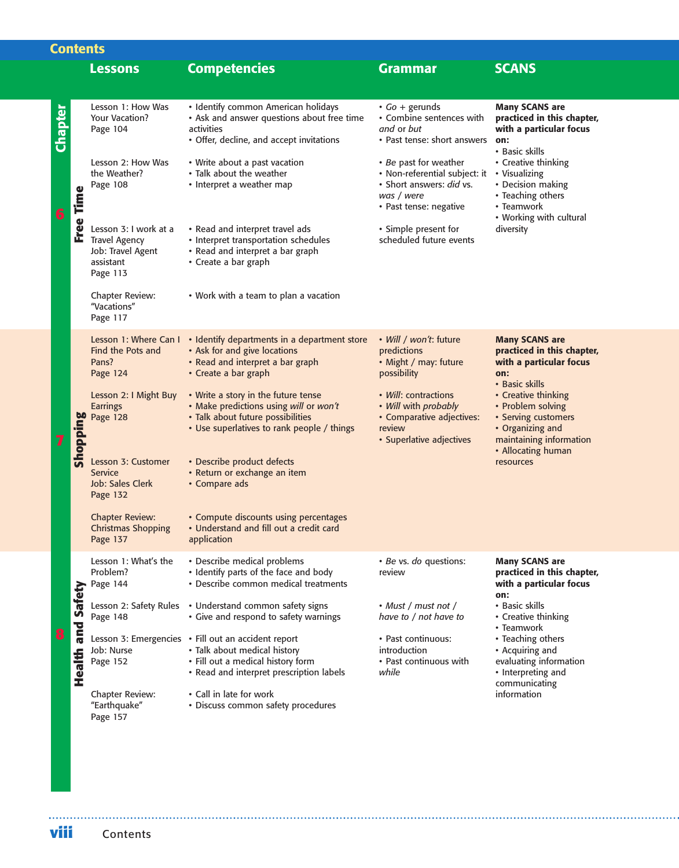|         | <b>Contents</b>          |                                                                                             |                                                                                                                                                                      |                                                                                                                            |                                                                                                                                      |  |  |  |
|---------|--------------------------|---------------------------------------------------------------------------------------------|----------------------------------------------------------------------------------------------------------------------------------------------------------------------|----------------------------------------------------------------------------------------------------------------------------|--------------------------------------------------------------------------------------------------------------------------------------|--|--|--|
|         |                          | <b>Lessons</b>                                                                              | <b>Competencies</b>                                                                                                                                                  | <b>Grammar</b>                                                                                                             | <b>SCANS</b>                                                                                                                         |  |  |  |
|         |                          |                                                                                             |                                                                                                                                                                      |                                                                                                                            |                                                                                                                                      |  |  |  |
| Chapter |                          | Lesson 1: How Was<br>Your Vacation?<br>Page 104                                             | • Identify common American holidays<br>• Ask and answer questions about free time<br>activities<br>• Offer, decline, and accept invitations                          | $\cdot$ Go + gerunds<br>• Combine sentences with<br>and or but<br>• Past tense: short answers                              | <b>Many SCANS are</b><br>practiced in this chapter,<br>with a particular focus<br>on:<br>• Basic skills                              |  |  |  |
| 6       | Free Time                | Lesson 2: How Was<br>the Weather?<br>Page 108                                               | • Write about a past vacation<br>• Talk about the weather<br>• Interpret a weather map                                                                               | • Be past for weather<br>• Non-referential subject: it<br>· Short answers: did vs.<br>was / were<br>• Past tense: negative | • Creative thinking<br>• Visualizing<br>• Decision making<br>• Teaching others<br>• Teamwork<br>• Working with cultural              |  |  |  |
|         |                          | Lesson 3: I work at a<br><b>Travel Agency</b><br>Job: Travel Agent<br>assistant<br>Page 113 | • Read and interpret travel ads<br>• Interpret transportation schedules<br>• Read and interpret a bar graph<br>• Create a bar graph                                  | • Simple present for<br>scheduled future events                                                                            | diversity                                                                                                                            |  |  |  |
|         |                          | Chapter Review:<br>"Vacations"<br>Page 117                                                  | • Work with a team to plan a vacation                                                                                                                                |                                                                                                                            |                                                                                                                                      |  |  |  |
|         |                          | Lesson 1: Where Can I<br>Find the Pots and<br>Pans?<br>Page 124                             | • Identify departments in a department store<br>• Ask for and give locations<br>• Read and interpret a bar graph<br>• Create a bar graph                             | • Will / won't: future<br>predictions<br>• Might / may: future<br>possibility                                              | <b>Many SCANS are</b><br>practiced in this chapter,<br>with a particular focus<br>on:<br>• Basic skills                              |  |  |  |
|         | Shopping                 | Lesson 2: I Might Buy<br><b>Earrings</b><br>Page 128                                        | • Write a story in the future tense<br>• Make predictions using will or won't<br>• Talk about future possibilities<br>• Use superlatives to rank people / things     | • Will: contractions<br>• Will with probably<br>• Comparative adjectives:<br>review<br>• Superlative adjectives            | • Creative thinking<br>• Problem solving<br>• Serving customers<br>• Organizing and<br>maintaining information<br>• Allocating human |  |  |  |
|         |                          | Lesson 3: Customer<br>Service<br>Job: Sales Clerk<br>Page 132                               | • Describe product defects<br>• Return or exchange an item<br>• Compare ads                                                                                          |                                                                                                                            | resources                                                                                                                            |  |  |  |
|         |                          | <b>Chapter Review:</b><br><b>Christmas Shopping</b><br>Page 137                             | • Compute discounts using percentages<br>• Understand and fill out a credit card<br>application                                                                      |                                                                                                                            |                                                                                                                                      |  |  |  |
|         |                          | Lesson 1: What's the<br>Problem?<br>Page 144                                                | • Describe medical problems<br>• Identify parts of the face and body<br>• Describe common medical treatments                                                         | · Be vs. do questions:<br>review                                                                                           | <b>Many SCANS are</b><br>practiced in this chapter,<br>with a particular focus<br>on:                                                |  |  |  |
|         |                          | Lesson 2: Safety Rules<br>Page 148                                                          | • Understand common safety signs<br>• Give and respond to safety warnings                                                                                            | • Must / must not /<br>have to / not have to                                                                               | • Basic skills<br>• Creative thinking<br>• Teamwork                                                                                  |  |  |  |
|         | <b>Health and Safety</b> | Job: Nurse<br>Page 152                                                                      | Lesson 3: Emergencies • Fill out an accident report<br>• Talk about medical history<br>• Fill out a medical history form<br>• Read and interpret prescription labels | • Past continuous:<br>introduction<br>• Past continuous with<br>while                                                      | • Teaching others<br>• Acquiring and<br>evaluating information<br>• Interpreting and<br>communicating                                |  |  |  |
|         |                          | Chapter Review:<br>"Earthquake"<br>Page 157                                                 | • Call in late for work<br>• Discuss common safety procedures                                                                                                        |                                                                                                                            | information                                                                                                                          |  |  |  |
| viii    |                          | Contents                                                                                    |                                                                                                                                                                      |                                                                                                                            |                                                                                                                                      |  |  |  |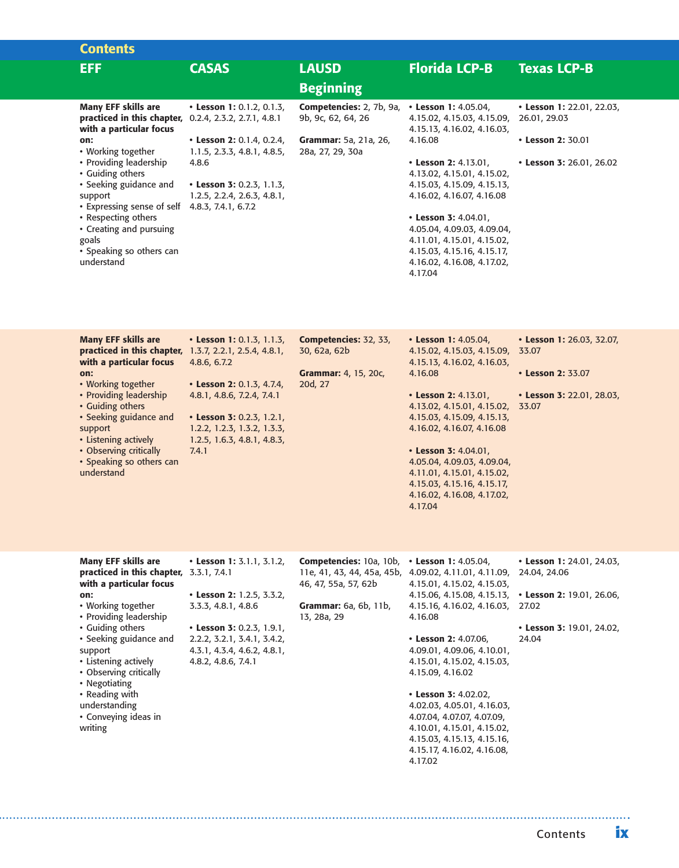| <b>Contents</b>                                                                     |                                                                    |                                                                                   |                                                          |                                           |
|-------------------------------------------------------------------------------------|--------------------------------------------------------------------|-----------------------------------------------------------------------------------|----------------------------------------------------------|-------------------------------------------|
| <b>EFF</b>                                                                          | <b>CASAS</b>                                                       | <b>LAUSD</b>                                                                      | <b>Florida LCP-B</b>                                     | <b>Texas LCP-B</b>                        |
|                                                                                     |                                                                    | <b>Beginning</b>                                                                  |                                                          |                                           |
| <b>Many EFF skills are</b><br>practiced in this chapter,<br>with a particular focus | • Lesson 1: 0.1.2, 0.1.3,<br>$0.2.4$ , $2.3.2$ , $2.7.1$ , $4.8.1$ | <b>Competencies:</b> 2, 7b, 9a, <b>· Lesson 1:</b> 4.05.04,<br>9b, 9c, 62, 64, 26 | 4.15.02, 4.15.03, 4.15.09,<br>4.15.13, 4.16.02, 4.16.03, | • Lesson 1: 22.01, 22.03,<br>26.01, 29.03 |
| on:<br>• Working together                                                           | • Lesson 2: 0.1.4, 0.2.4,<br>1.1.5, 2.3.3, 4.8.1, 4.8.5,           | <b>Grammar:</b> 5a, 21a, 26,<br>28a, 27, 29, 30a                                  | 4.16.08                                                  | • Lesson 2: 30.01                         |
| • Providing leadership<br>• Guiding others                                          | 4.8.6                                                              |                                                                                   | • Lesson 2: $4.13.01$ ,<br>4.13.02, 4.15.01, 4.15.02,    | • Lesson 3: 26.01, 26.02                  |
| • Seeking guidance and                                                              | • Lesson 3: 0.2.3, 1.1.3,                                          |                                                                                   | 4.15.03, 4.15.09, 4.15.13,<br>4.16.02, 4.16.07, 4.16.08  |                                           |
| support<br>• Expressing sense of self                                               | 1.2.5, 2.2.4, 2.6.3, 4.8.1,<br>4.8.3, 7.4.1, 6.7.2                 |                                                                                   |                                                          |                                           |
| • Respecting others                                                                 |                                                                    |                                                                                   | • Lesson 3: $4.04.01$ ,                                  |                                           |
| • Creating and pursuing                                                             |                                                                    |                                                                                   | 4.05.04, 4.09.03, 4.09.04,                               |                                           |
| goals                                                                               |                                                                    |                                                                                   | 4.11.01, 4.15.01, 4.15.02,                               |                                           |
| • Speaking so others can                                                            |                                                                    |                                                                                   | 4.15.03, 4.15.16, 4.15.17,                               |                                           |
| understand                                                                          |                                                                    |                                                                                   | 4.16.02, 4.16.08, 4.17.02,                               |                                           |
|                                                                                     |                                                                    |                                                                                   | 4.17.04                                                  |                                           |

| <b>Many EFF skills are</b>                                    | • Lesson 1: 0.1.3, 1.1.3,   | Competencies: 32, 33,       | • Lesson 1: 4.05.04,             | • Lesson 1: 26.03, 32.07, |
|---------------------------------------------------------------|-----------------------------|-----------------------------|----------------------------------|---------------------------|
| <b>practiced in this chapter, 1.3.7, 2.2.1, 2.5.4, 4.8.1,</b> |                             | 30, 62a, 62b                | 4.15.02, 4.15.03, 4.15.09, 33.07 |                           |
| with a particular focus                                       | 4.8.6, 6.7.2                |                             | 4.15.13, 4.16.02, 4.16.03,       |                           |
| on:                                                           |                             | <b>Grammar:</b> 4, 15, 20c, | 4.16.08                          | • Lesson 2: 33.07         |
| • Working together                                            | • Lesson 2: 0.1.3, 4.7.4,   | 20d, 27                     |                                  |                           |
| • Providing leadership                                        | 4.8.1, 4.8.6, 7.2.4, 7.4.1  |                             | • Lesson 2: 4.13.01,             | • Lesson 3: 22.01, 28.03, |
| • Guiding others                                              |                             |                             | 4.13.02, 4.15.01, 4.15.02, 33.07 |                           |
| • Seeking guidance and                                        | • Lesson 3: 0.2.3, 1.2.1,   |                             | 4.15.03, 4.15.09, 4.15.13,       |                           |
| support                                                       | 1.2.2, 1.2.3, 1.3.2, 1.3.3, |                             | 4.16.02, 4.16.07, 4.16.08        |                           |
| • Listening actively                                          | 1.2.5, 1.6.3, 4.8.1, 4.8.3, |                             |                                  |                           |
| • Observing critically                                        | 7.4.1                       |                             | • Lesson 3: 4.04.01,             |                           |
| • Speaking so others can                                      |                             |                             | 4.05.04, 4.09.03, 4.09.04,       |                           |
| understand                                                    |                             |                             | 4.11.01, 4.15.01, 4.15.02,       |                           |
|                                                               |                             |                             | 4.15.03, 4.15.16, 4.15.17,       |                           |
|                                                               |                             |                             | 4.16.02, 4.16.08, 4.17.02,       |                           |

4.17.04

| Many EFF skills are                     | • Lesson 1: $3.1.1, 3.1.2$  | <b>Competencies:</b> 10a, 10b, $\cdot$ Lesson 1: 4.05.04, |                                                                    | • Lesson 1: 24.01, 24.03, |
|-----------------------------------------|-----------------------------|-----------------------------------------------------------|--------------------------------------------------------------------|---------------------------|
| practiced in this chapter, 3.3.1, 7.4.1 |                             |                                                           | 11e, 41, 43, 44, 45a, 45b, 4.09.02, 4.11.01, 4.11.09, 24.04, 24.06 |                           |
| with a particular focus                 |                             | 46, 47, 55a, 57, 62b                                      | 4.15.01, 4.15.02, 4.15.03,                                         |                           |
| on:                                     | • Lesson 2: 1.2.5, 3.3.2,   |                                                           | 4.15.06, 4.15.08, 4.15.13, <b>• Lesson 2:</b> 19.01, 26.06,        |                           |
| • Working together                      | 3.3.3, 4.8.1, 4.8.6         | Grammar: 6a, 6b, 11b,                                     | 4.15.16, 4.16.02, 4.16.03, 27.02                                   |                           |
| • Providing leadership                  |                             | 13, 28a, 29                                               | 4.16.08                                                            |                           |
| • Guiding others                        | • Lesson 3: 0.2.3, 1.9.1,   |                                                           |                                                                    | • Lesson 3: 19.01, 24.02, |
| • Seeking guidance and                  | 2.2.2, 3.2.1, 3.4.1, 3.4.2, |                                                           | • Lesson 2: $4.07.06$ .                                            | 24.04                     |
| support                                 | 4.3.1, 4.3.4, 4.6.2, 4.8.1, |                                                           | 4.09.01, 4.09.06, 4.10.01,                                         |                           |
| • Listening actively                    | 4.8.2, 4.8.6, 7.4.1         |                                                           | 4.15.01, 4.15.02, 4.15.03,                                         |                           |
| • Observing critically                  |                             |                                                           | 4.15.09, 4.16.02                                                   |                           |
| • Negotiating                           |                             |                                                           |                                                                    |                           |
| • Reading with                          |                             |                                                           | • Lesson 3: 4.02.02,                                               |                           |
| understanding                           |                             |                                                           | 4.02.03, 4.05.01, 4.16.03,                                         |                           |
| • Conveying ideas in                    |                             |                                                           | 4.07.04, 4.07.07, 4.07.09,                                         |                           |
| writing                                 |                             |                                                           | 4.10.01, 4.15.01, 4.15.02,                                         |                           |
|                                         |                             |                                                           | 4.15.03, 4.15.13, 4.15.16,                                         |                           |
|                                         |                             |                                                           | 4.15.17, 4.16.02, 4.16.08,                                         |                           |
|                                         |                             |                                                           | 4.17.02                                                            |                           |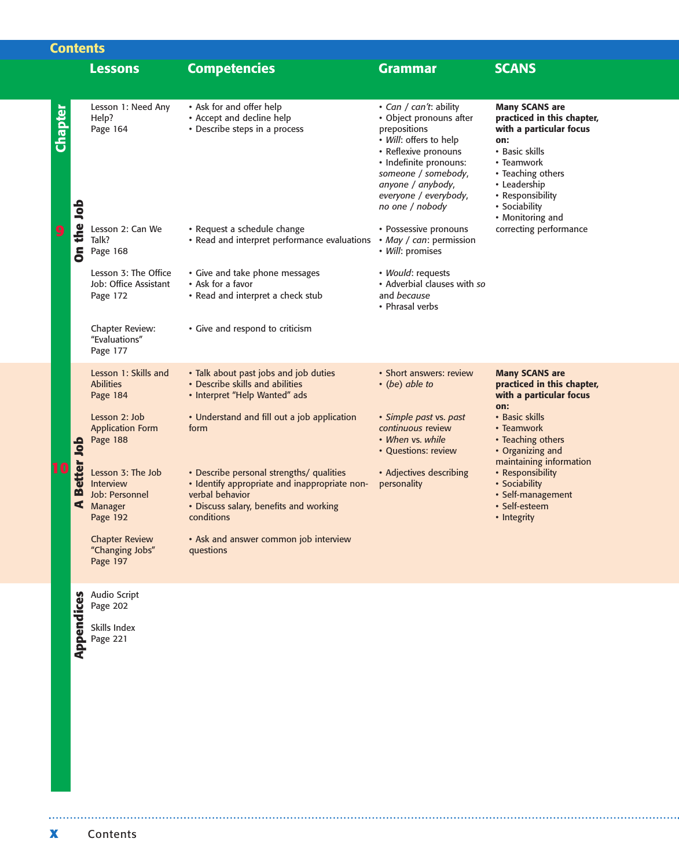|                |                 | <b>Contents</b>                                                                |                                                                                                                                                                      |                                                                                                                                                                                                                                       |                                                                                                                                                                                                                     |
|----------------|-----------------|--------------------------------------------------------------------------------|----------------------------------------------------------------------------------------------------------------------------------------------------------------------|---------------------------------------------------------------------------------------------------------------------------------------------------------------------------------------------------------------------------------------|---------------------------------------------------------------------------------------------------------------------------------------------------------------------------------------------------------------------|
|                |                 | <b>Lessons</b>                                                                 | <b>Competencies</b>                                                                                                                                                  | <b>Grammar</b>                                                                                                                                                                                                                        | <b>SCANS</b>                                                                                                                                                                                                        |
| <b>Chapter</b> |                 | Lesson 1: Need Any<br>Help?<br>Page 164                                        | • Ask for and offer help<br>• Accept and decline help<br>• Describe steps in a process                                                                               | • Can / can't: ability<br>• Object pronouns after<br>prepositions<br>· Will: offers to help<br>• Reflexive pronouns<br>· Indefinite pronouns:<br>someone / somebody,<br>anyone / anybody,<br>everyone / everybody,<br>no one / nobody | <b>Many SCANS are</b><br>practiced in this chapter,<br>with a particular focus<br>on:<br>• Basic skills<br>• Teamwork<br>• Teaching others<br>• Leadership<br>• Responsibility<br>• Sociability<br>• Monitoring and |
|                | On the Job      | Lesson 2: Can We<br>Talk?<br>Page 168                                          | • Request a schedule change<br>• Read and interpret performance evaluations                                                                                          | • Possessive pronouns<br>• May / can: permission<br>• Will: promises                                                                                                                                                                  | correcting performance                                                                                                                                                                                              |
|                |                 | Lesson 3: The Office<br>Job: Office Assistant<br>Page 172                      | • Give and take phone messages<br>• Ask for a favor<br>• Read and interpret a check stub                                                                             | • Would: requests<br>• Adverbial clauses with so<br>and because<br>• Phrasal verbs                                                                                                                                                    |                                                                                                                                                                                                                     |
|                |                 | Chapter Review:<br>"Evaluations"<br>Page 177                                   | • Give and respond to criticism                                                                                                                                      |                                                                                                                                                                                                                                       |                                                                                                                                                                                                                     |
|                |                 | Lesson 1: Skills and<br><b>Abilities</b><br>Page 184                           | • Talk about past jobs and job duties<br>• Describe skills and abilities<br>• Interpret "Help Wanted" ads                                                            | • Short answers: review<br>$\cdot$ (be) able to                                                                                                                                                                                       | <b>Many SCANS are</b><br>practiced in this chapter,<br>with a particular focus<br>on:                                                                                                                               |
|                |                 | Lesson 2: Job<br><b>Application Form</b><br>Page 188                           | • Understand and fill out a job application<br>form                                                                                                                  | • Simple past vs. past<br>continuous review<br>• When vs. while<br>• Questions: review                                                                                                                                                | • Basic skills<br>• Teamwork<br>• Teaching others<br>• Organizing and<br>maintaining information                                                                                                                    |
|                | Better Job<br>⋖ | Lesson 3: The Job<br><b>Interview</b><br>Job: Personnel<br>Manager<br>Page 192 | • Describe personal strengths/ qualities<br>· Identify appropriate and inappropriate non-<br>verbal behavior<br>• Discuss salary, benefits and working<br>conditions | • Adjectives describing<br>personality                                                                                                                                                                                                | • Responsibility<br>• Sociability<br>• Self-management<br>• Self-esteem<br>• Integrity                                                                                                                              |
|                |                 | <b>Chapter Review</b><br>"Changing Jobs"<br>Page 197                           | • Ask and answer common job interview<br>questions                                                                                                                   |                                                                                                                                                                                                                                       |                                                                                                                                                                                                                     |
|                |                 | Audio Script<br>Page 202                                                       |                                                                                                                                                                      |                                                                                                                                                                                                                                       |                                                                                                                                                                                                                     |
|                | Appendices      | Skills Index<br>Page 221                                                       |                                                                                                                                                                      |                                                                                                                                                                                                                                       |                                                                                                                                                                                                                     |
| X              |                 | Contents                                                                       |                                                                                                                                                                      |                                                                                                                                                                                                                                       |                                                                                                                                                                                                                     |